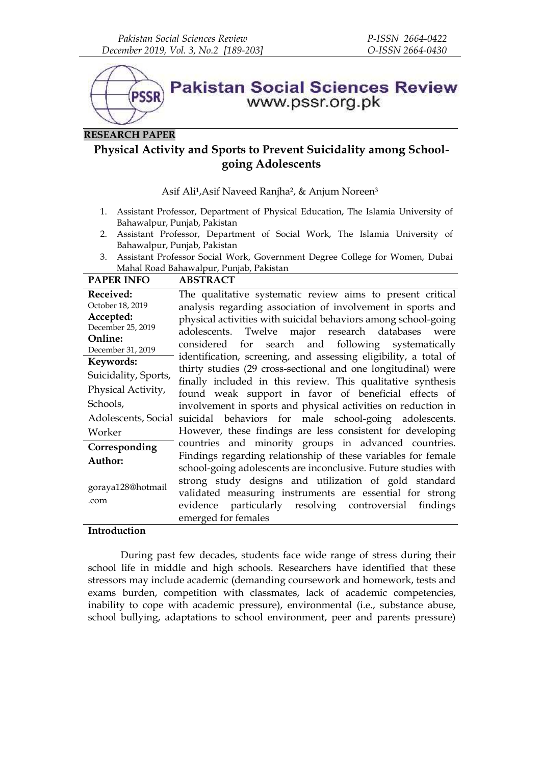

# **RESEARCH PAPER**

# **Physical Activity and Sports to Prevent Suicidality among School going Adolescents**

Asif Ali1,Asif Naveed Ranjha2, & Anjum Noreen<sup>3</sup>

- 1. Assistant Professor, Department of Physical Education, The Islamia University of Bahawalpur, Punjab, Pakistan
- 2. Assistant Professor, Department of Social Work, The Islamia University of Bahawalpur, Punjab, Pakistan
- 3. Assistant Professor Social Work, Government Degree College for Women, Dubai Mahal Road Bahawalpur, Punjab, Pakistan

| <b>PAPER INFO</b>    | <b>ABSTRACT</b>                                                  |
|----------------------|------------------------------------------------------------------|
| Received:            | The qualitative systematic review aims to present critical       |
| October 18, 2019     | analysis regarding association of involvement in sports and      |
| Accepted:            | physical activities with suicidal behaviors among school-going   |
| December 25, 2019    | adolescents. Twelve major research databases were                |
| Online:              | considered for search and following systematically               |
| December 31, 2019    | identification, screening, and assessing eligibility, a total of |
| Keywords:            | thirty studies (29 cross-sectional and one longitudinal) were    |
| Suicidality, Sports, | finally included in this review. This qualitative synthesis      |
| Physical Activity,   | found weak support in favor of beneficial effects of             |
| Schools,             | involvement in sports and physical activities on reduction in    |
| Adolescents, Social  | suicidal behaviors for male school-going adolescents.            |
| Worker               | However, these findings are less consistent for developing       |
| Corresponding        | countries and minority groups in advanced countries.             |
| Author:              | Findings regarding relationship of these variables for female    |
|                      | school-going adolescents are inconclusive. Future studies with   |
|                      | strong study designs and utilization of gold standard            |
| goraya128@hotmail    | validated measuring instruments are essential for strong         |
| .com                 | evidence particularly resolving controversial findings           |
|                      | emerged for females                                              |

## **Introduction**

During past few decades, students face wide range of stress during their school life in middle and high schools. Researchers have identified that these stressors may include academic (demanding coursework and homework, tests and exams burden, competition with classmates, lack of academic competencies, inability to cope with academic pressure), environmental (i.e., substance abuse, school bullying, adaptations to school environment, peer and parents pressure)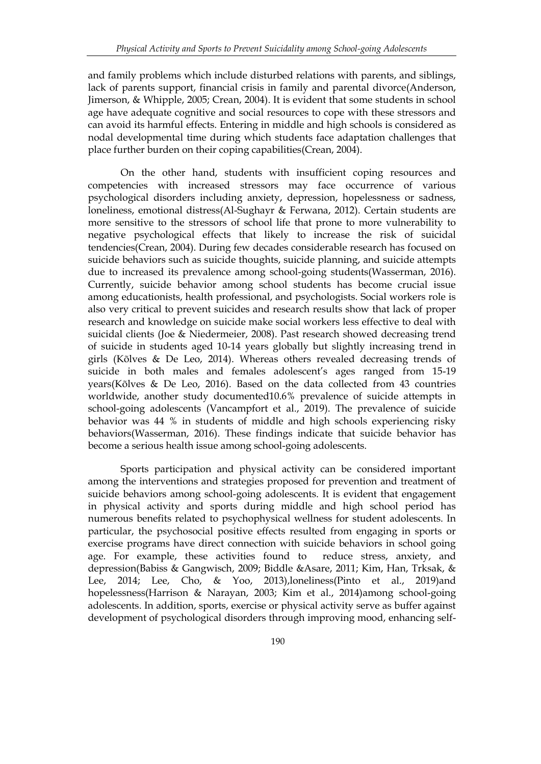and family problems which include disturbed relations with parents, and siblings, lack of parents support, financial crisis in family and parental divorce(Anderson, Jimerson, & Whipple, 2005; Crean, 2004). It is evident that some students in school age have adequate cognitive and social resources to cope with these stressors and can avoid its harmful effects. Entering in middle and high schools is considered as nodal developmental time during which students face adaptation challenges that place further burden on their coping capabilities(Crean, 2004).

On the other hand, students with insufficient coping resources and competencies with increased stressors may face occurrence of various psychological disorders including anxiety, depression, hopelessness or sadness, loneliness, emotional distress(Al-Sughayr & Ferwana, 2012). Certain students are more sensitive to the stressors of school life that prone to more vulnerability to negative psychological effects that likely to increase the risk of suicidal tendencies(Crean, 2004). During few decades considerable research has focused on suicide behaviors such as suicide thoughts, suicide planning, and suicide attempts due to increased its prevalence among school-going students(Wasserman, 2016). Currently, suicide behavior among school students has become crucial issue among educationists, health professional, and psychologists. Social workers role is also very critical to prevent suicides and research results show that lack of proper research and knowledge on suicide make social workers less effective to deal with suicidal clients (Joe & Niedermeier, 2008). Past research showed decreasing trend of suicide in students aged 10-14 years globally but slightly increasing trend in girls (Kõlves & De Leo, 2014). Whereas others revealed decreasing trends of suicide in both males and females adolescent's ages ranged from 15-19 years(Kõlves & De Leo, 2016). Based on the data collected from 43 countries worldwide, another study documented10.6% prevalence of suicide attempts in school-going adolescents (Vancampfort et al., 2019). The prevalence of suicide behavior was 44 % in students of middle and high schools experiencing risky behaviors(Wasserman, 2016). These findings indicate that suicide behavior has become a serious health issue among school-going adolescents.

Sports participation and physical activity can be considered important among the interventions and strategies proposed for prevention and treatment of suicide behaviors among school-going adolescents. It is evident that engagement in physical activity and sports during middle and high school period has numerous benefits related to psychophysical wellness for student adolescents. In particular, the psychosocial positive effects resulted from engaging in sports or exercise programs have direct connection with suicide behaviors in school going age. For example, these activities found to reduce stress, anxiety, and depression(Babiss & Gangwisch, 2009; Biddle &Asare, 2011; Kim, Han, Trksak, & Lee, 2014; Lee, Cho, & Yoo, 2013),loneliness(Pinto et al., 2019)and hopelessness(Harrison & Narayan, 2003; Kim et al., 2014)among school-going adolescents. In addition, sports, exercise or physical activity serve as buffer against development of psychological disorders through improving mood, enhancing self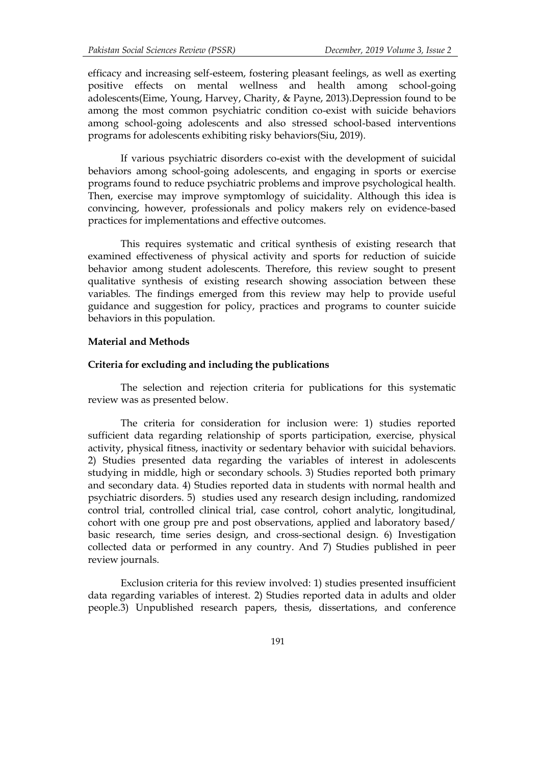efficacy and increasing self-esteem, fostering pleasant feelings, as well as exerting positive effects on mental wellness and health among school-going adolescents(Eime, Young, Harvey, Charity, & Payne, 2013).Depression found to be among the most common psychiatric condition co-exist with suicide behaviors among school-going adolescents and also stressed school-based interventions programs for adolescents exhibiting risky behaviors(Siu, 2019).

If various psychiatric disorders co-exist with the development of suicidal behaviors among school-going adolescents, and engaging in sports or exercise programs found to reduce psychiatric problems and improve psychological health. Then, exercise may improve symptomlogy of suicidality. Although this idea is convincing, however, professionals and policy makers rely on evidence-based practices for implementations and effective outcomes.

This requires systematic and critical synthesis of existing research that examined effectiveness of physical activity and sports for reduction of suicide behavior among student adolescents. Therefore, this review sought to present qualitative synthesis of existing research showing association between these variables. The findings emerged from this review may help to provide useful guidance and suggestion for policy, practices and programs to counter suicide behaviors in this population.

### **Material and Methods**

### **Criteria for excluding and including the publications**

The selection and rejection criteria for publications for this systematic review was as presented below.

The criteria for consideration for inclusion were: 1) studies reported sufficient data regarding relationship of sports participation, exercise, physical activity, physical fitness, inactivity or sedentary behavior with suicidal behaviors. 2) Studies presented data regarding the variables of interest in adolescents studying in middle, high or secondary schools. 3) Studies reported both primary and secondary data. 4) Studies reported data in students with normal health and psychiatric disorders. 5) studies used any research design including, randomized control trial, controlled clinical trial, case control, cohort analytic, longitudinal, cohort with one group pre and post observations, applied and laboratory based/ basic research, time series design, and cross-sectional design. 6) Investigation collected data or performed in any country. And 7) Studies published in peer review journals.

Exclusion criteria for this review involved: 1) studies presented insufficient data regarding variables of interest. 2) Studies reported data in adults and older people.3) Unpublished research papers, thesis, dissertations, and conference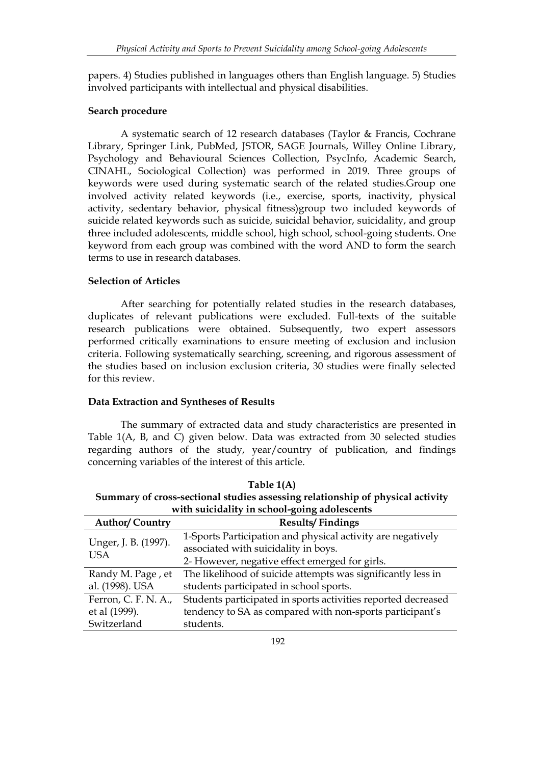papers. 4) Studies published in languages others than English language. 5) Studies involved participants with intellectual and physical disabilities.

## **Search procedure**

A systematic search of 12 research databases (Taylor & Francis, Cochrane Library, Springer Link, PubMed, JSTOR, SAGE Journals, Willey Online Library, Psychology and Behavioural Sciences Collection, PsycInfo, Academic Search, CINAHL, Sociological Collection) was performed in 2019. Three groups of keywords were used during systematic search of the related studies.Group one involved activity related keywords (i.e., exercise, sports, inactivity, physical activity, sedentary behavior, physical fitness)group two included keywords of suicide related keywords such as suicide, suicidal behavior, suicidality, and group three included adolescents, middle school, high school, school-going students. One keyword from each group was combined with the word AND to form the search terms to use in research databases.

## **Selection of Articles**

After searching for potentially related studies in the research databases, duplicates of relevant publications were excluded. Full-texts of the suitable research publications were obtained. Subsequently, two expert assessors performed critically examinations to ensure meeting of exclusion and inclusion criteria. Following systematically searching, screening, and rigorous assessment of the studies based on inclusion exclusion criteria, 30 studies were finally selected for this review.

## **Data Extraction and Syntheses of Results**

The summary of extracted data and study characteristics are presented in Table 1(A, B, and C) given below. Data was extracted from 30 selected studies regarding authors of the study, year/country of publication, and findings concerning variables of the interest of this article.

**Table 1(A) Summary of cross-sectional studies assessing relationship of physical activity with suicidality in school-going adolescents**

| <b>Author/Country</b>              | <b>Results/Findings</b>                                       |
|------------------------------------|---------------------------------------------------------------|
|                                    | 1-Sports Participation and physical activity are negatively   |
| Unger, J. B. (1997).<br><b>USA</b> | associated with suicidality in boys.                          |
|                                    | 2- However, negative effect emerged for girls.                |
| Randy M. Page, et                  | The likelihood of suicide attempts was significantly less in  |
| al. (1998). USA                    | students participated in school sports.                       |
| Ferron, C. F. N. A.,               | Students participated in sports activities reported decreased |
| et al (1999).                      | tendency to SA as compared with non-sports participant's      |
| Switzerland                        | students.                                                     |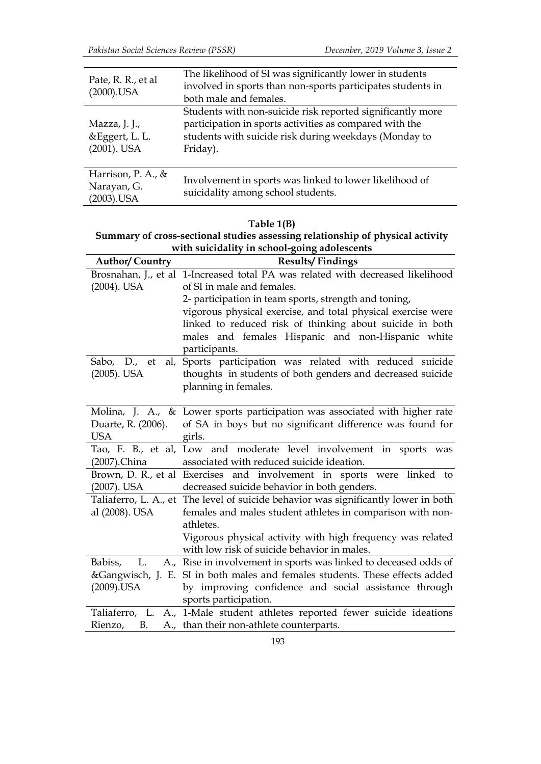| Pate, R. R., et al<br>$(2000)$ .USA                   | The likelihood of SI was significantly lower in students<br>involved in sports than non-sports participates students in<br>both male and females.                                          |
|-------------------------------------------------------|--------------------------------------------------------------------------------------------------------------------------------------------------------------------------------------------|
| Mazza, J. J.,<br>&Eggert, L. L.<br>$(2001)$ . USA     | Students with non-suicide risk reported significantly more<br>participation in sports activities as compared with the<br>students with suicide risk during weekdays (Monday to<br>Friday). |
| Harrison, P. A., $\&$<br>Narayan, G.<br>$(2003)$ .USA | Involvement in sports was linked to lower likelihood of<br>suicidality among school students.                                                                                              |

# **Table 1(B)**

| Summary of cross-sectional studies assessing relationship of physical activity |  |
|--------------------------------------------------------------------------------|--|
| with suicidality in school-going adolescents                                   |  |

| <b>Author/Country</b> | <b>Results/Findings</b>                                                             |
|-----------------------|-------------------------------------------------------------------------------------|
|                       | Brosnahan, J., et al 1-Increased total PA was related with decreased likelihood     |
| $(2004)$ . USA        | of SI in male and females.                                                          |
|                       | 2- participation in team sports, strength and toning,                               |
|                       | vigorous physical exercise, and total physical exercise were                        |
|                       | linked to reduced risk of thinking about suicide in both                            |
|                       | males and females Hispanic and non-Hispanic white                                   |
|                       | participants.                                                                       |
| Sabo, D., et          | al, Sports participation was related with reduced suicide                           |
| $(2005)$ . USA        | thoughts in students of both genders and decreased suicide                          |
|                       | planning in females.                                                                |
|                       |                                                                                     |
|                       | Molina, J. A., & Lower sports participation was associated with higher rate         |
| Duarte, R. (2006).    | of SA in boys but no significant difference was found for                           |
| <b>USA</b>            | girls.                                                                              |
|                       | Tao, F. B., et al, Low and moderate level involvement in sports was                 |
| (2007).China          | associated with reduced suicide ideation.                                           |
|                       | Brown, D. R., et al Exercises and involvement in sports were linked to              |
| (2007). USA           | decreased suicide behavior in both genders.                                         |
|                       | Taliaferro, L. A., et The level of suicide behavior was significantly lower in both |
| al (2008). USA        | females and males student athletes in comparison with non-                          |
|                       | athletes.                                                                           |
|                       | Vigorous physical activity with high frequency was related                          |
|                       | with low risk of suicide behavior in males.                                         |
| Babiss,<br>L.         | A., Rise in involvement in sports was linked to deceased odds of                    |
|                       | &Gangwisch, J. E. SI in both males and females students. These effects added        |
| $(2009)$ .USA         | by improving confidence and social assistance through                               |
|                       | sports participation.                                                               |
|                       | Taliaferro, L. A., 1-Male student athletes reported fewer suicide ideations         |
| <b>B.</b><br>Rienzo,  | A., than their non-athlete counterparts.                                            |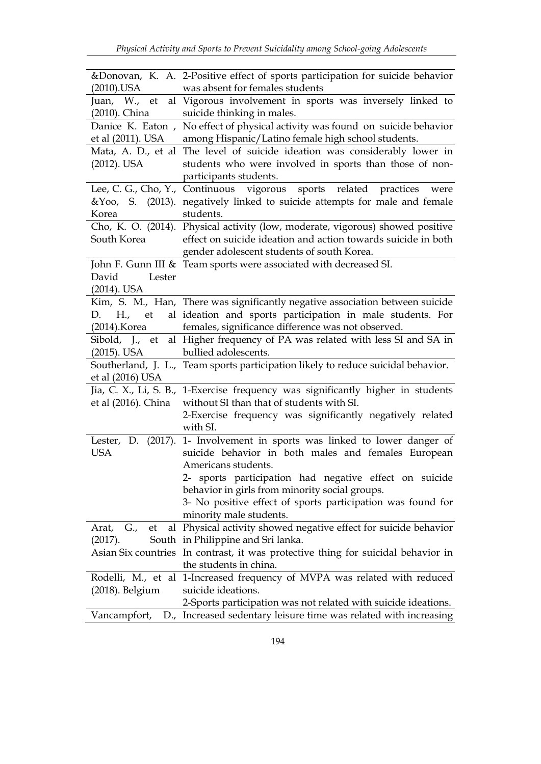|                     | &Donovan, K. A. 2-Positive effect of sports participation for suicide behavior                                                        |
|---------------------|---------------------------------------------------------------------------------------------------------------------------------------|
| (2010).USA          | was absent for females students                                                                                                       |
|                     | Juan, W., et al Vigorous involvement in sports was inversely linked to                                                                |
| (2010). China       | suicide thinking in males.                                                                                                            |
|                     | Danice K. Eaton, No effect of physical activity was found on suicide behavior                                                         |
| et al (2011). USA   | among Hispanic/Latino female high school students.                                                                                    |
| $(2012)$ . USA      | Mata, A. D., et al The level of suicide ideation was considerably lower in<br>students who were involved in sports than those of non- |
|                     | participants students.                                                                                                                |
|                     | Lee, C. G., Cho, Y., Continuous vigorous sports related practices<br>were                                                             |
|                     | &Yoo, S. (2013). negatively linked to suicide attempts for male and female                                                            |
| Korea               | students.                                                                                                                             |
|                     | Cho, K. O. (2014). Physical activity (low, moderate, vigorous) showed positive                                                        |
| South Korea         | effect on suicide ideation and action towards suicide in both<br>gender adolescent students of south Korea.                           |
|                     | John F. Gunn III & Team sports were associated with decreased SI.                                                                     |
| David<br>Lester     |                                                                                                                                       |
| $(2014)$ . USA      |                                                                                                                                       |
|                     | Kim, S. M., Han, There was significantly negative association between suicide                                                         |
| H., et<br>D.        | al ideation and sports participation in male students. For                                                                            |
| (2014).Korea        | females, significance difference was not observed.                                                                                    |
|                     | Sibold, J., et al Higher frequency of PA was related with less SI and SA in                                                           |
| (2015). USA         | bullied adolescents.                                                                                                                  |
|                     | Southerland, J. L., Team sports participation likely to reduce suicidal behavior.                                                     |
| et al (2016) USA    |                                                                                                                                       |
| et al (2016). China | Jia, C. X., Li, S. B., 1-Exercise frequency was significantly higher in students<br>without SI than that of students with SI.         |
|                     | 2-Exercise frequency was significantly negatively related                                                                             |
|                     | with SI.                                                                                                                              |
|                     | Lester, D. (2017). 1- Involvement in sports was linked to lower danger of                                                             |
| <b>USA</b>          | suicide behavior in both males and females European                                                                                   |
|                     | Americans students.                                                                                                                   |
|                     | 2- sports participation had negative effect on suicide                                                                                |
|                     | behavior in girls from minority social groups.                                                                                        |
|                     | 3- No positive effect of sports participation was found for                                                                           |
|                     | minority male students.                                                                                                               |
| G.,<br>Arat,<br>et  | al Physical activity showed negative effect for suicide behavior                                                                      |
| (2017).             | South in Philippine and Sri lanka.                                                                                                    |
|                     | Asian Six countries In contrast, it was protective thing for suicidal behavior in                                                     |
|                     | the students in china.                                                                                                                |
|                     | Rodelli, M., et al 1-Increased frequency of MVPA was related with reduced                                                             |
| (2018). Belgium     | suicide ideations.                                                                                                                    |
|                     | 2-Sports participation was not related with suicide ideations.                                                                        |
| Vancampfort,        | D., Increased sedentary leisure time was related with increasing                                                                      |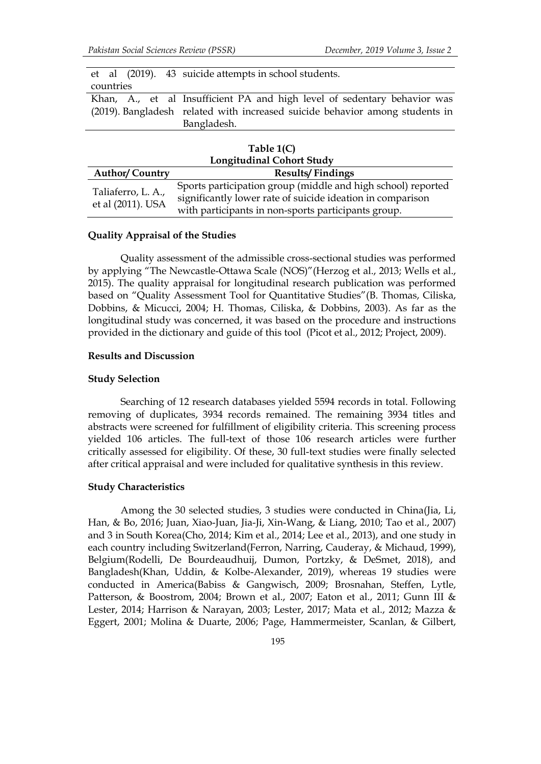|           |  | et al (2019). 43 suicide attempts in school students.                        |
|-----------|--|------------------------------------------------------------------------------|
| countries |  |                                                                              |
|           |  | Khan, A., et al Insufficient PA and high level of sedentary behavior was     |
|           |  | (2019). Bangladesh related with increased suicide behavior among students in |
|           |  | Bangladesh.                                                                  |
|           |  |                                                                              |

|                                         | Table $1(C)$                                                                                                               |
|-----------------------------------------|----------------------------------------------------------------------------------------------------------------------------|
|                                         | <b>Longitudinal Cohort Study</b>                                                                                           |
| <b>Author/Country</b>                   | <b>Results/Findings</b>                                                                                                    |
| Taliaferro, L. A.,<br>et al (2011). USA | Sports participation group (middle and high school) reported<br>significantly lower rate of suicide ideation in comparison |
|                                         | with participants in non-sports participants group.                                                                        |

### **Quality Appraisal of the Studies**

Quality assessment of the admissible cross-sectional studies was performed by applying "The Newcastle-Ottawa Scale (NOS)"(Herzog et al., 2013; Wells et al., 2015). The quality appraisal for longitudinal research publication was performed based on "Quality Assessment Tool for Quantitative Studies"(B. Thomas, Ciliska, Dobbins, & Micucci, 2004; H. Thomas, Ciliska, & Dobbins, 2003). As far as the longitudinal study was concerned, it was based on the procedure and instructions provided in the dictionary and guide of this tool (Picot et al., 2012; Project, 2009).

### **Results and Discussion**

#### **Study Selection**

Searching of 12 research databases yielded 5594 records in total. Following removing of duplicates, 3934 records remained. The remaining 3934 titles and abstracts were screened for fulfillment of eligibility criteria. This screening process yielded 106 articles. The full-text of those 106 research articles were further critically assessed for eligibility. Of these, 30 full-text studies were finally selected after critical appraisal and were included for qualitative synthesis in this review.

### **Study Characteristics**

Among the 30 selected studies, 3 studies were conducted in China(Jia, Li, Han, & Bo, 2016; Juan, Xiao-Juan, Jia-Ji, Xin-Wang, & Liang, 2010; Tao et al., 2007) and 3 in South Korea(Cho, 2014; Kim et al., 2014; Lee et al., 2013), and one study in each country including Switzerland(Ferron, Narring, Cauderay, & Michaud, 1999), Belgium(Rodelli, De Bourdeaudhuij, Dumon, Portzky, & DeSmet, 2018), and Bangladesh(Khan, Uddin, & Kolbe-Alexander, 2019), whereas 19 studies were conducted in America(Babiss & Gangwisch, 2009; Brosnahan, Steffen, Lytle, Patterson, & Boostrom, 2004; Brown et al., 2007; Eaton et al., 2011; Gunn III & Lester, 2014; Harrison & Narayan, 2003; Lester, 2017; Mata et al., 2012; Mazza & Eggert, 2001; Molina & Duarte, 2006; Page, Hammermeister, Scanlan, & Gilbert,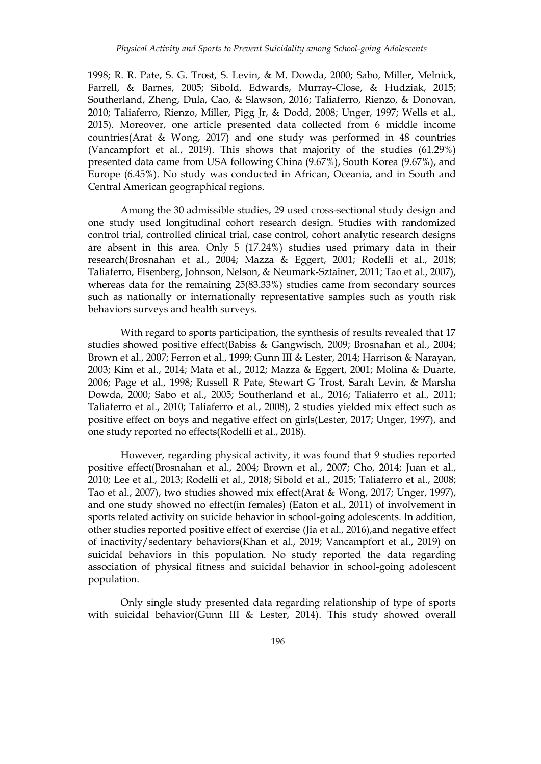1998; R. R. Pate, S. G. Trost, S. Levin, & M. Dowda, 2000; Sabo, Miller, Melnick, Farrell, & Barnes, 2005; Sibold, Edwards, Murray-Close, & Hudziak, 2015; Southerland, Zheng, Dula, Cao, & Slawson, 2016; Taliaferro, Rienzo, & Donovan, 2010; Taliaferro, Rienzo, Miller, Pigg Jr, & Dodd, 2008; Unger, 1997; Wells et al., 2015). Moreover, one article presented data collected from 6 middle income countries(Arat & Wong, 2017) and one study was performed in 48 countries (Vancampfort et al., 2019). This shows that majority of the studies (61.29%) presented data came from USA following China (9.67%), South Korea (9.67%), and Europe (6.45%). No study was conducted in African, Oceania, and in South and Central American geographical regions.

Among the 30 admissible studies, 29 used cross-sectional study design and one study used longitudinal cohort research design. Studies with randomized control trial, controlled clinical trial, case control, cohort analytic research designs are absent in this area. Only 5 (17.24%) studies used primary data in their research(Brosnahan et al., 2004; Mazza & Eggert, 2001; Rodelli et al., 2018; Taliaferro, Eisenberg, Johnson, Nelson, & Neumark-Sztainer, 2011; Tao et al., 2007), whereas data for the remaining 25(83.33%) studies came from secondary sources such as nationally or internationally representative samples such as youth risk behaviors surveys and health surveys.

With regard to sports participation, the synthesis of results revealed that 17 studies showed positive effect(Babiss & Gangwisch, 2009; Brosnahan et al., 2004; Brown et al., 2007; Ferron et al., 1999; Gunn III & Lester, 2014; Harrison & Narayan, 2003; Kim et al., 2014; Mata et al., 2012; Mazza & Eggert, 2001; Molina & Duarte, 2006; Page et al., 1998; Russell R Pate, Stewart G Trost, Sarah Levin, & Marsha Dowda, 2000; Sabo et al., 2005; Southerland et al., 2016; Taliaferro et al., 2011; Taliaferro et al., 2010; Taliaferro et al., 2008), 2 studies yielded mix effect such as positive effect on boys and negative effect on girls(Lester, 2017; Unger, 1997), and one study reported no effects(Rodelli et al., 2018).

However, regarding physical activity, it was found that 9 studies reported positive effect(Brosnahan et al., 2004; Brown et al., 2007; Cho, 2014; Juan et al., 2010; Lee et al., 2013; Rodelli et al., 2018; Sibold et al., 2015; Taliaferro et al., 2008; Tao et al., 2007), two studies showed mix effect(Arat & Wong, 2017; Unger, 1997), and one study showed no effect(in females) (Eaton et al., 2011) of involvement in sports related activity on suicide behavior in school-going adolescents. In addition, other studies reported positive effect of exercise (Jia et al., 2016),and negative effect of inactivity/sedentary behaviors(Khan et al., 2019; Vancampfort et al., 2019) on suicidal behaviors in this population. No study reported the data regarding association of physical fitness and suicidal behavior in school-going adolescent population.

Only single study presented data regarding relationship of type of sports with suicidal behavior(Gunn III & Lester, 2014). This study showed overall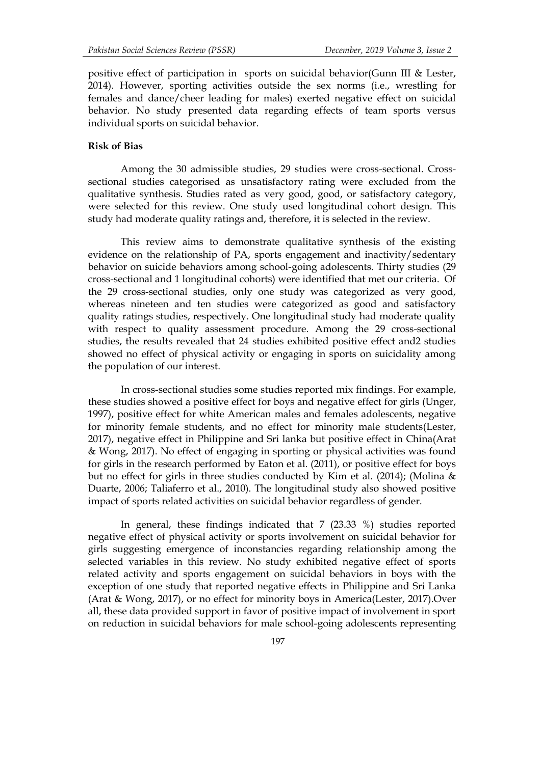positive effect of participation in sports on suicidal behavior(Gunn III & Lester, 2014). However, sporting activities outside the sex norms (i.e., wrestling for females and dance/cheer leading for males) exerted negative effect on suicidal behavior. No study presented data regarding effects of team sports versus individual sports on suicidal behavior.

## **Risk of Bias**

Among the 30 admissible studies, 29 studies were cross-sectional. Cross sectional studies categorised as unsatisfactory rating were excluded from the qualitative synthesis. Studies rated as very good, good, or satisfactory category, were selected for this review. One study used longitudinal cohort design. This study had moderate quality ratings and, therefore, it is selected in the review.

This review aims to demonstrate qualitative synthesis of the existing evidence on the relationship of PA, sports engagement and inactivity/sedentary behavior on suicide behaviors among school-going adolescents. Thirty studies (29 cross-sectional and 1 longitudinal cohorts) were identified that met our criteria. Of the 29 cross-sectional studies, only one study was categorized as very good, whereas nineteen and ten studies were categorized as good and satisfactory quality ratings studies, respectively. One longitudinal study had moderate quality with respect to quality assessment procedure. Among the 29 cross-sectional studies, the results revealed that 24 studies exhibited positive effect and2 studies showed no effect of physical activity or engaging in sports on suicidality among the population of our interest.

In cross-sectional studies some studies reported mix findings. For example, these studies showed a positive effect for boys and negative effect for girls (Unger, 1997), positive effect for white American males and females adolescents, negative for minority female students, and no effect for minority male students(Lester, 2017), negative effect in Philippine and Sri lanka but positive effect in China(Arat & Wong, 2017). No effect of engaging in sporting or physical activities was found for girls in the research performed by Eaton et al. (2011), or positive effect for boys but no effect for girls in three studies conducted by Kim et al. (2014); (Molina & Duarte, 2006; Taliaferro et al., 2010). The longitudinal study also showed positive impact of sports related activities on suicidal behavior regardless of gender.

In general, these findings indicated that 7 (23.33 %) studies reported negative effect of physical activity or sports involvement on suicidal behavior for girls suggesting emergence of inconstancies regarding relationship among the selected variables in this review. No study exhibited negative effect of sports related activity and sports engagement on suicidal behaviors in boys with the exception of one study that reported negative effects in Philippine and Sri Lanka (Arat & Wong, 2017), or no effect for minority boys in America(Lester, 2017).Over all, these data provided support in favor of positive impact of involvement in sport on reduction in suicidal behaviors for male school-going adolescents representing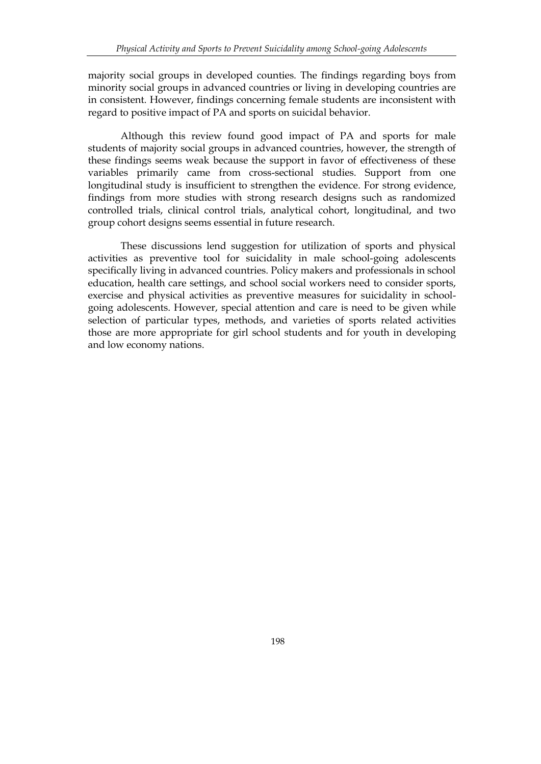majority social groups in developed counties. The findings regarding boys from minority social groups in advanced countries or living in developing countries are in consistent. However, findings concerning female students are inconsistent with regard to positive impact of PA and sports on suicidal behavior.

Although this review found good impact of PA and sports for male students of majority social groups in advanced countries, however, the strength of these findings seems weak because the support in favor of effectiveness of these variables primarily came from cross-sectional studies. Support from one longitudinal study is insufficient to strengthen the evidence. For strong evidence, findings from more studies with strong research designs such as randomized controlled trials, clinical control trials, analytical cohort, longitudinal, and two group cohort designs seems essential in future research.

These discussions lend suggestion for utilization of sports and physical activities as preventive tool for suicidality in male school-going adolescents specifically living in advanced countries. Policy makers and professionals in school education, health care settings, and school social workers need to consider sports, exercise and physical activities as preventive measures for suicidality in school going adolescents. However, special attention and care is need to be given while selection of particular types, methods, and varieties of sports related activities those are more appropriate for girl school students and for youth in developing and low economy nations.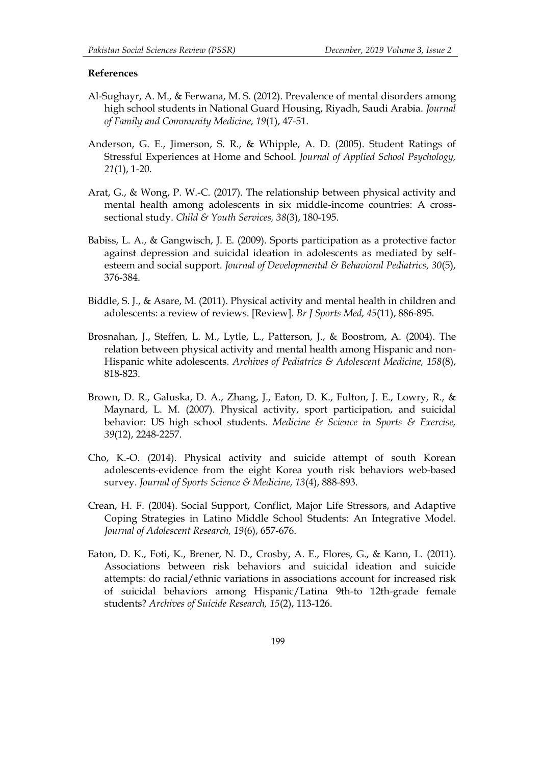### **References**

- Al-Sughayr, A. M., & Ferwana, M. S. (2012). Prevalence of mental disorders among high school students in National Guard Housing, Riyadh, Saudi Arabia. *Journal of Family and Community Medicine, 19*(1), 47-51.
- Anderson, G. E., Jimerson, S. R., & Whipple, A. D. (2005). Student Ratings of Stressful Experiences at Home and School. *Journal of Applied School Psychology, 21*(1), 1-20.
- Arat, G., & Wong, P. W.-C. (2017). The relationship between physical activity and mental health among adolescents in six middle-income countries: A cross sectional study. *Child & Youth Services, 38*(3), 180-195.
- Babiss, L. A., & Gangwisch, J. E. (2009). Sports participation as a protective factor against depression and suicidal ideation in adolescents as mediated by self esteem and social support. *Journal of Developmental & Behavioral Pediatrics, 30*(5), 376-384.
- Biddle, S. J., & Asare, M. (2011). Physical activity and mental health in children and adolescents: a review of reviews. [Review]. *Br J Sports Med, 45*(11), 886-895.
- Brosnahan, J., Steffen, L. M., Lytle, L., Patterson, J., & Boostrom, A. (2004). The relation between physical activity and mental health among Hispanic and non- Hispanic white adolescents. *Archives of Pediatrics & Adolescent Medicine, 158*(8), 818-823.
- Brown, D. R., Galuska, D. A., Zhang, J., Eaton, D. K., Fulton, J. E., Lowry, R., & Maynard, L. M. (2007). Physical activity, sport participation, and suicidal behavior: US high school students. *Medicine & Science in Sports & Exercise, 39*(12), 2248-2257.
- Cho, K.-O. (2014). Physical activity and suicide attempt of south Korean adolescents-evidence from the eight Korea youth risk behaviors web-based survey. *Journal of Sports Science & Medicine, 13*(4), 888-893.
- Crean, H. F. (2004). Social Support, Conflict, Major Life Stressors, and Adaptive Coping Strategies in Latino Middle School Students: An Integrative Model. *Journal of Adolescent Research, 19*(6), 657-676.
- Eaton, D. K., Foti, K., Brener, N. D., Crosby, A. E., Flores, G., & Kann, L. (2011). Associations between risk behaviors and suicidal ideation and suicide attempts: do racial/ethnic variations in associations account for increased risk of suicidal behaviors among Hispanic/Latina 9th-to 12th-grade female students? *Archives of Suicide Research, 15*(2), 113-126.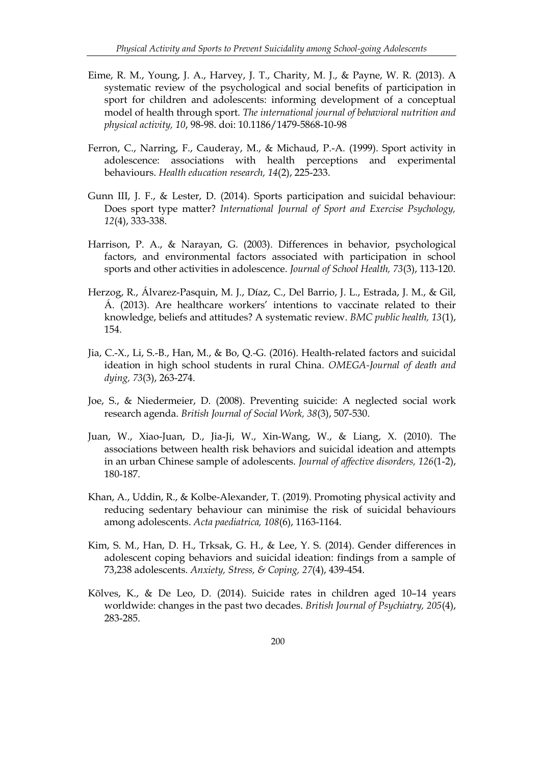- Eime, R. M., Young, J. A., Harvey, J. T., Charity, M. J., & Payne, W. R. (2013). A systematic review of the psychological and social benefits of participation in sport for children and adolescents: informing development of a conceptual model of health through sport. *The international journal of behavioral nutrition and physical activity, 10*, 98-98. doi: 10.1186/1479-5868-10-98
- Ferron, C., Narring, F., Cauderay, M., & Michaud, P.-A. (1999). Sport activity in adolescence: associations with health perceptions and experimental behaviours. *Health education research, 14*(2), 225-233.
- Gunn III, J. F., & Lester, D. (2014). Sports participation and suicidal behaviour: Does sport type matter? *International Journal of Sport and Exercise Psychology, 12*(4), 333-338.
- Harrison, P. A., & Narayan, G. (2003). Differences in behavior, psychological factors, and environmental factors associated with participation in school sports and other activities in adolescence. *Journal of School Health, 73*(3), 113-120.
- Herzog, R., Álvarez-Pasquin, M. J., Díaz, C., Del Barrio, J. L., Estrada, J. M., & Gil, Á. (2013). Are healthcare workers' intentions to vaccinate related to their knowledge, beliefs and attitudes? A systematic review. *BMC public health, 13*(1), 154.
- Jia, C.-X., Li, S.-B., Han, M., & Bo, Q.-G. (2016). Health-related factors and suicidal ideation in high school students in rural China. *OMEGA-Journal of death and dying, 73*(3), 263-274.
- Joe, S., & Niedermeier, D. (2008). Preventing suicide: A neglected social work research agenda. *British Journal of Social Work, 38*(3), 507-530.
- Juan, W., Xiao-Juan, D., Jia-Ji, W., Xin-Wang, W., & Liang, X. (2010). The associations between health risk behaviors and suicidal ideation and attempts in an urban Chinese sample of adolescents. *Journal of affective disorders, 126*(1-2), 180-187.
- Khan, A., Uddin, R., & Kolbe-Alexander, T. (2019). Promoting physical activity and reducing sedentary behaviour can minimise the risk of suicidal behaviours among adolescents. *Acta paediatrica, 108*(6), 1163-1164.
- Kim, S. M., Han, D. H., Trksak, G. H., & Lee, Y. S. (2014). Gender differences in adolescent coping behaviors and suicidal ideation: findings from a sample of 73,238 adolescents. *Anxiety, Stress, & Coping, 27*(4), 439-454.
- Kõlves, K., & De Leo, D. (2014). Suicide rates in children aged 10–14 years worldwide: changes in the past two decades. *British Journal of Psychiatry, 205*(4), 283-285.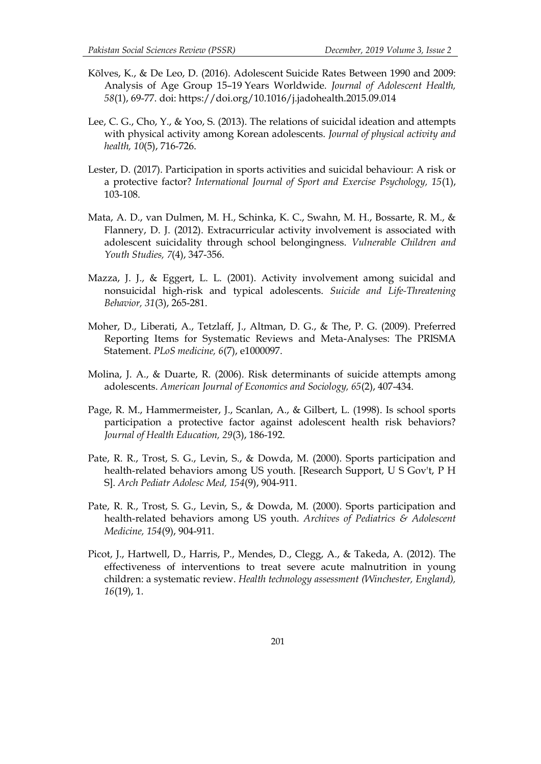- Kõlves, K., & De Leo, D. (2016). Adolescent Suicide Rates Between 1990 and 2009: Analysis of Age Group 15–19 Years Worldwide. *Journal of Adolescent Health, 58*(1), 69-77. doi: https://doi.org/10.1016/j.jadohealth.2015.09.014
- Lee, C. G., Cho, Y., & Yoo, S. (2013). The relations of suicidal ideation and attempts with physical activity among Korean adolescents. *Journal of physical activity and health, 10*(5), 716-726.
- Lester, D. (2017). Participation in sports activities and suicidal behaviour: A risk or a protective factor? *International Journal of Sport and Exercise Psychology, 15*(1), 103-108.
- Mata, A. D., van Dulmen, M. H., Schinka, K. C., Swahn, M. H., Bossarte, R. M., & Flannery, D. J. (2012). Extracurricular activity involvement is associated with adolescent suicidality through school belongingness. *Vulnerable Children and Youth Studies, 7*(4), 347-356.
- Mazza, J. J., & Eggert, L. L. (2001). Activity involvement among suicidal and nonsuicidal high-risk and typical adolescents. *Suicide and Life-Threatening Behavior, 31*(3), 265-281.
- Moher, D., Liberati, A., Tetzlaff, J., Altman, D. G., & The, P. G. (2009). Preferred Reporting Items for Systematic Reviews and Meta-Analyses: The PRISMA Statement. *PLoS medicine, 6*(7), e1000097.
- Molina, J. A., & Duarte, R. (2006). Risk determinants of suicide attempts among adolescents. *American Journal of Economics and Sociology, 65*(2), 407-434.
- Page, R. M., Hammermeister, J., Scanlan, A., & Gilbert, L. (1998). Is school sports participation a protective factor against adolescent health risk behaviors? *Journal of Health Education, 29*(3), 186-192.
- Pate, R. R., Trost, S. G., Levin, S., & Dowda, M. (2000). Sports participation and health-related behaviors among US youth. [Research Support, U S Gov't, P H S]. *Arch Pediatr Adolesc Med, 154*(9), 904-911.
- Pate, R. R., Trost, S. G., Levin, S., & Dowda, M. (2000). Sports participation and health-related behaviors among US youth. *Archives of Pediatrics & Adolescent Medicine, 154*(9), 904-911.
- Picot, J., Hartwell, D., Harris, P., Mendes, D., Clegg, A., & Takeda, A. (2012). The effectiveness of interventions to treat severe acute malnutrition in young children: a systematic review. *Health technology assessment (Winchester, England), 16*(19), 1.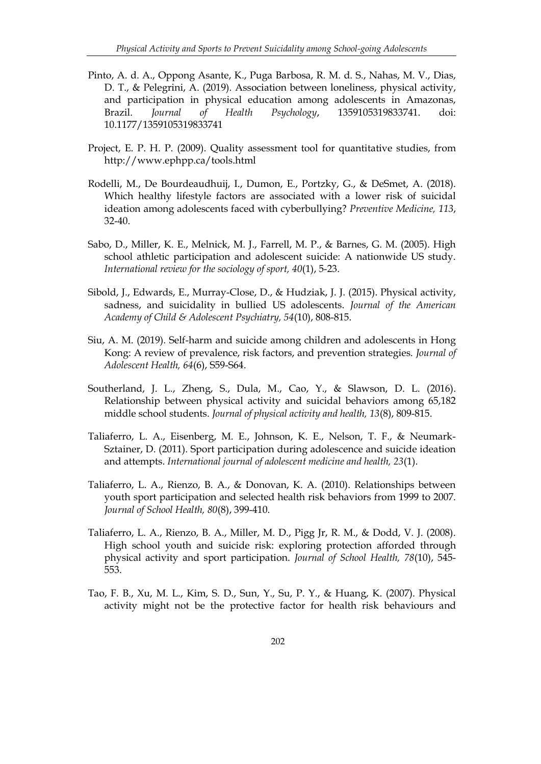- Pinto, A. d. A., Oppong Asante, K., Puga Barbosa, R. M. d. S., Nahas, M. V., Dias, D. T., & Pelegrini, A. (2019). Association between loneliness, physical activity, and participation in physical education among adolescents in Amazonas, Brazil. *Journal of Health Psychology*, 1359105319833741. doi: 10.1177/1359105319833741
- Project, E. P. H. P. (2009). Quality assessment tool for quantitative studies, from http://www.ephpp.ca/tools.html
- Rodelli, M., De Bourdeaudhuij, I., Dumon, E., Portzky, G., & DeSmet, A. (2018). Which healthy lifestyle factors are associated with a lower risk of suicidal ideation among adolescents faced with cyberbullying? *Preventive Medicine, 113*, 32-40.
- Sabo, D., Miller, K. E., Melnick, M. J., Farrell, M. P., & Barnes, G. M. (2005). High school athletic participation and adolescent suicide: A nationwide US study. *International review for the sociology of sport, 40*(1), 5-23.
- Sibold, J., Edwards, E., Murray-Close, D., & Hudziak, J. J. (2015). Physical activity, sadness, and suicidality in bullied US adolescents. *Journal of the American Academy of Child & Adolescent Psychiatry, 54*(10), 808-815.
- Siu, A. M. (2019). Self-harm and suicide among children and adolescents in Hong Kong: A review of prevalence, risk factors, and prevention strategies. *Journal of Adolescent Health, 64*(6), S59-S64.
- Southerland, J. L., Zheng, S., Dula, M., Cao, Y., & Slawson, D. L. (2016). Relationship between physical activity and suicidal behaviors among 65,182 middle school students. *Journal of physical activity and health, 13*(8), 809-815.
- Taliaferro, L. A., Eisenberg, M. E., Johnson, K. E., Nelson, T. F., & Neumark- Sztainer, D. (2011). Sport participation during adolescence and suicide ideation and attempts. *International journal of adolescent medicine and health, 23*(1).
- Taliaferro, L. A., Rienzo, B. A., & Donovan, K. A. (2010). Relationships between youth sport participation and selected health risk behaviors from 1999 to 2007. *Journal of School Health, 80*(8), 399-410.
- Taliaferro, L. A., Rienzo, B. A., Miller, M. D., Pigg Jr, R. M., & Dodd, V. J. (2008). High school youth and suicide risk: exploring protection afforded through physical activity and sport participation. *Journal of School Health, 78*(10), 545- 553.
- Tao, F. B., Xu, M. L., Kim, S. D., Sun, Y., Su, P. Y., & Huang, K. (2007). Physical activity might not be the protective factor for health risk behaviours and